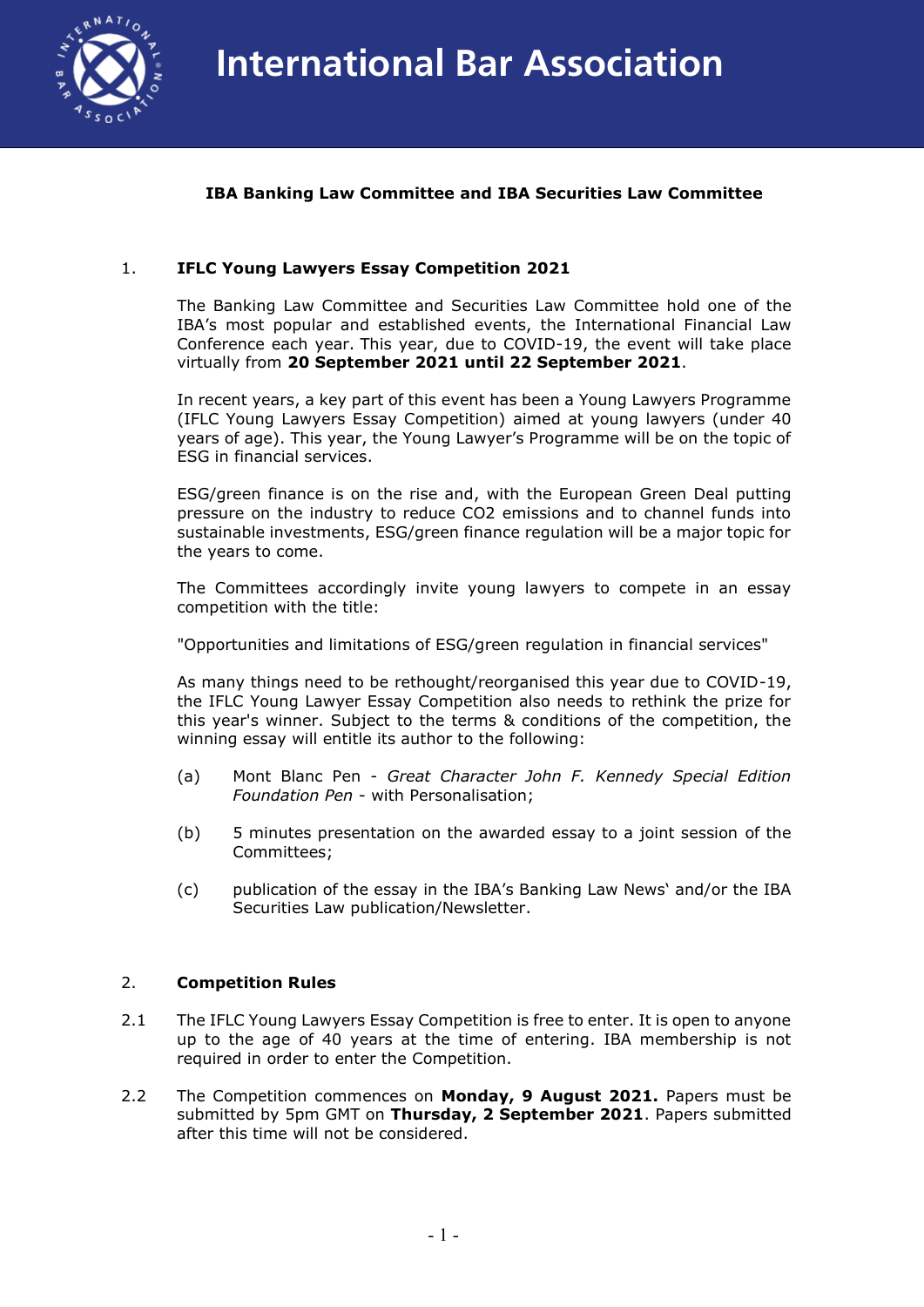

## **IBA Banking Law Committee and IBA Securities Law Committee**

## 1. **IFLC Young Lawyers Essay Competition 2021**

The Banking Law Committee and Securities Law Committee hold one of the IBA's most popular and established events, the International Financial Law Conference each year. This year, due to COVID-19, the event will take place virtually from **20 September 2021 until 22 September 2021**.

In recent years, a key part of this event has been a Young Lawyers Programme (IFLC Young Lawyers Essay Competition) aimed at young lawyers (under 40 years of age). This year, the Young Lawyer's Programme will be on the topic of ESG in financial services.

ESG/green finance is on the rise and, with the European Green Deal putting pressure on the industry to reduce CO2 emissions and to channel funds into sustainable investments, ESG/green finance regulation will be a major topic for the years to come.

The Committees accordingly invite young lawyers to compete in an essay competition with the title:

"Opportunities and limitations of ESG/green regulation in financial services"

As many things need to be rethought/reorganised this year due to COVID-19, the IFLC Young Lawyer Essay Competition also needs to rethink the prize for this year's winner. Subject to the terms & conditions of the competition, the winning essay will entitle its author to the following:

- (a) Mont Blanc Pen *Great Character John F. Kennedy Special Edition Foundation Pen* - with Personalisation;
- (b) 5 minutes presentation on the awarded essay to a joint session of the Committees;
- (c) publication of the essay in the IBA's Banking Law News' and/or the IBA Securities Law publication/Newsletter.

## 2. **Competition Rules**

- 2.1 The IFLC Young Lawyers Essay Competition is free to enter. It is open to anyone up to the age of 40 years at the time of entering. IBA membership is not required in order to enter the Competition.
- 2.2 The Competition commences on **Monday, 9 August 2021.** Papers must be submitted by 5pm GMT on **Thursday, 2 September 2021**. Papers submitted after this time will not be considered.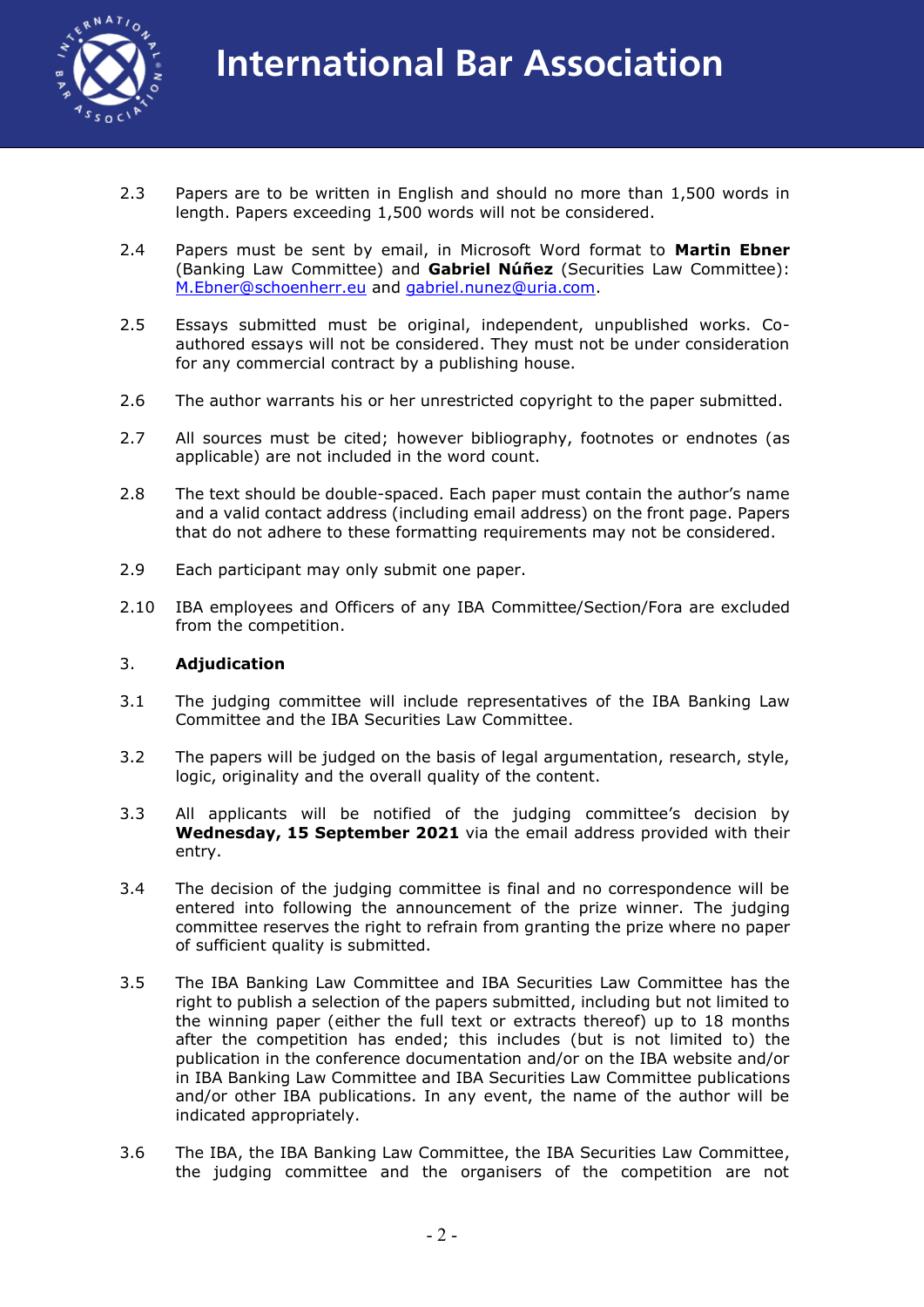

- 2.3 Papers are to be written in English and should no more than 1,500 words in length. Papers exceeding 1,500 words will not be considered.
- 2.4 Papers must be sent by email, in Microsoft Word format to **Martin Ebner** (Banking Law Committee) and **Gabriel Núñez** (Securities Law Committee): M.Ebner@schoenherr.eu and gabriel.nunez@uria.com.
- 2.5 Essays submitted must be original, independent, unpublished works. Coauthored essays will not be considered. They must not be under consideration for any commercial contract by a publishing house.
- 2.6 The author warrants his or her unrestricted copyright to the paper submitted.
- 2.7 All sources must be cited; however bibliography, footnotes or endnotes (as applicable) are not included in the word count.
- 2.8 The text should be double-spaced. Each paper must contain the author's name and a valid contact address (including email address) on the front page. Papers that do not adhere to these formatting requirements may not be considered.
- 2.9 Each participant may only submit one paper.
- 2.10 IBA employees and Officers of any IBA Committee/Section/Fora are excluded from the competition.

## 3. **Adjudication**

- 3.1 The judging committee will include representatives of the IBA Banking Law Committee and the IBA Securities Law Committee.
- 3.2 The papers will be judged on the basis of legal argumentation, research, style, logic, originality and the overall quality of the content.
- 3.3 All applicants will be notified of the judging committee's decision by **Wednesday, 15 September 2021** via the email address provided with their entry.
- 3.4 The decision of the judging committee is final and no correspondence will be entered into following the announcement of the prize winner. The judging committee reserves the right to refrain from granting the prize where no paper of sufficient quality is submitted.
- 3.5 The IBA Banking Law Committee and IBA Securities Law Committee has the right to publish a selection of the papers submitted, including but not limited to the winning paper (either the full text or extracts thereof) up to 18 months after the competition has ended; this includes (but is not limited to) the publication in the conference documentation and/or on the IBA website and/or in IBA Banking Law Committee and IBA Securities Law Committee publications and/or other IBA publications. In any event, the name of the author will be indicated appropriately.
- 3.6 The IBA, the IBA Banking Law Committee, the IBA Securities Law Committee, the judging committee and the organisers of the competition are not